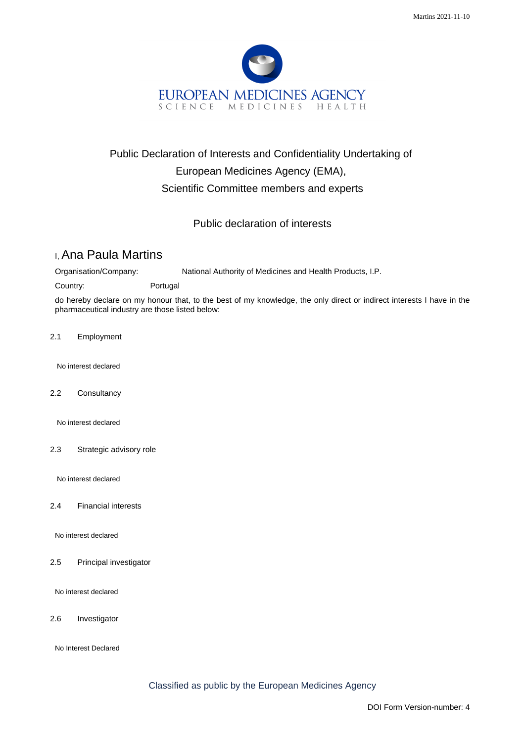

## Public Declaration of Interests and Confidentiality Undertaking of European Medicines Agency (EMA), Scientific Committee members and experts

Public declaration of interests

## I, Ana Paula Martins

Organisation/Company: National Authority of Medicines and Health Products, I.P.

Country: Portugal

do hereby declare on my honour that, to the best of my knowledge, the only direct or indirect interests I have in the pharmaceutical industry are those listed below:

2.1 Employment

No interest declared

2.2 Consultancy

No interest declared

2.3 Strategic advisory role

No interest declared

2.4 Financial interests

No interest declared

2.5 Principal investigator

No interest declared

2.6 Investigator

No Interest Declared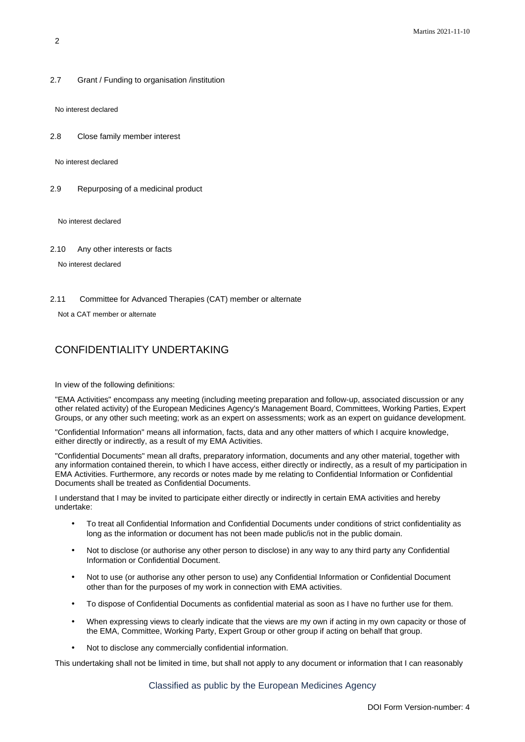2.7 Grant / Funding to organisation /institution

No interest declared

2.8 Close family member interest

No interest declared

2.9 Repurposing of a medicinal product

No interest declared

2.10 Any other interests or facts

No interest declared

2.11 Committee for Advanced Therapies (CAT) member or alternate

Not a CAT member or alternate

## CONFIDENTIALITY UNDERTAKING

In view of the following definitions:

"EMA Activities" encompass any meeting (including meeting preparation and follow-up, associated discussion or any other related activity) of the European Medicines Agency's Management Board, Committees, Working Parties, Expert Groups, or any other such meeting; work as an expert on assessments; work as an expert on guidance development.

"Confidential Information" means all information, facts, data and any other matters of which I acquire knowledge, either directly or indirectly, as a result of my EMA Activities.

"Confidential Documents" mean all drafts, preparatory information, documents and any other material, together with any information contained therein, to which I have access, either directly or indirectly, as a result of my participation in EMA Activities. Furthermore, any records or notes made by me relating to Confidential Information or Confidential Documents shall be treated as Confidential Documents.

I understand that I may be invited to participate either directly or indirectly in certain EMA activities and hereby undertake:

- To treat all Confidential Information and Confidential Documents under conditions of strict confidentiality as long as the information or document has not been made public/is not in the public domain.
- Not to disclose (or authorise any other person to disclose) in any way to any third party any Confidential Information or Confidential Document.
- Not to use (or authorise any other person to use) any Confidential Information or Confidential Document other than for the purposes of my work in connection with EMA activities.
- To dispose of Confidential Documents as confidential material as soon as I have no further use for them.
- When expressing views to clearly indicate that the views are my own if acting in my own capacity or those of the EMA, Committee, Working Party, Expert Group or other group if acting on behalf that group.
- Not to disclose any commercially confidential information.

This undertaking shall not be limited in time, but shall not apply to any document or information that I can reasonably

Classified as public by the European Medicines Agency